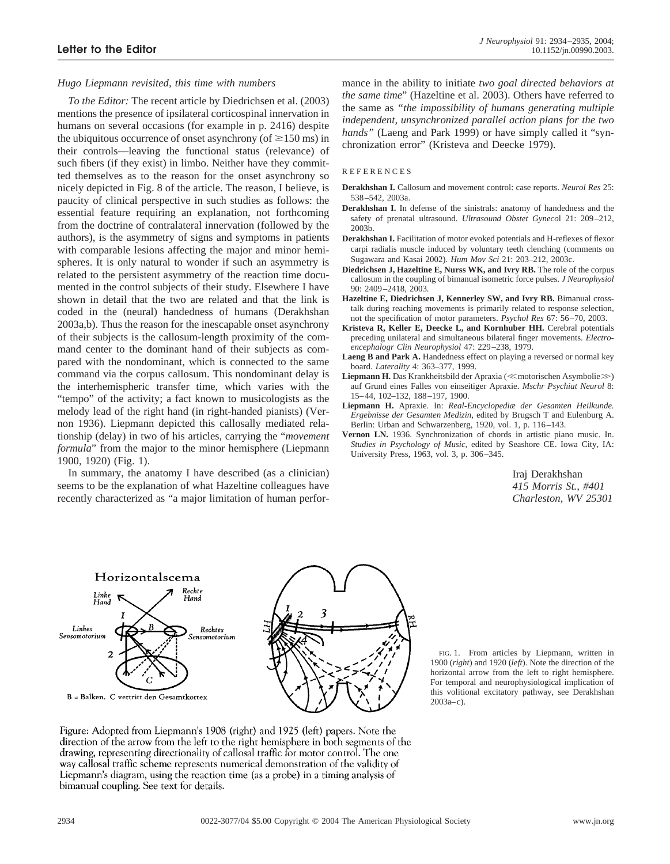## *Hugo Liepmann revisited, this time with numbers*

*To the Editor:* The recent article by Diedrichsen et al. (2003) mentions the presence of ipsilateral corticospinal innervation in humans on several occasions (for example in p. 2416) despite the ubiquitous occurrence of onset asynchrony (of  $\geq 150$  ms) in their controls—leaving the functional status (relevance) of such fibers (if they exist) in limbo. Neither have they committed themselves as to the reason for the onset asynchrony so nicely depicted in Fig. 8 of the article. The reason, I believe, is paucity of clinical perspective in such studies as follows: the essential feature requiring an explanation, not forthcoming from the doctrine of contralateral innervation (followed by the authors), is the asymmetry of signs and symptoms in patients with comparable lesions affecting the major and minor hemispheres. It is only natural to wonder if such an asymmetry is related to the persistent asymmetry of the reaction time documented in the control subjects of their study. Elsewhere I have shown in detail that the two are related and that the link is coded in the (neural) handedness of humans (Derakhshan 2003a,b). Thus the reason for the inescapable onset asynchrony of their subjects is the callosum-length proximity of the command center to the dominant hand of their subjects as compared with the nondominant, which is connected to the same command via the corpus callosum. This nondominant delay is the interhemispheric transfer time, which varies with the "tempo" of the activity; a fact known to musicologists as the melody lead of the right hand (in right-handed pianists) (Vernon 1936). Liepmann depicted this callosally mediated relationship (delay) in two of his articles, carrying the "*movement formula*" from the major to the minor hemisphere (Liepmann 1900, 1920) (Fig. 1).

In summary, the anatomy I have described (as a clinician) seems to be the explanation of what Hazeltine colleagues have recently characterized as "a major limitation of human performance in the ability to initiate *two goal directed behaviors at the same time*" (Hazeltine et al. 2003). Others have referred to the same as *"the impossibility of humans generating multiple independent, unsynchronized parallel action plans for the two hands"* (Laeng and Park 1999) or have simply called it "synchronization error" (Kristeva and Deecke 1979).

## **REFERENCES**

- **Derakhshan I.** Callosum and movement control: case reports. *Neurol Res* 25: 538–542, 2003a.
- **Derakhshan I.** In defense of the sinistrals: anatomy of handedness and the safety of prenatal ultrasound. *Ultrasound Obstet Gyneco*l 21: 209–212, 2003b.
- **Derakhshan I.** Facilitation of motor evoked potentials and H-reflexes of flexor carpi radialis muscle induced by voluntary teeth clenching (comments on Sugawara and Kasai 2002). *Hum Mov Sci* 21: 203–212, 2003c.
- **Diedrichsen J, Hazeltine E, Nurss WK, and Ivry RB.** The role of the corpus callosum in the coupling of bimanual isometric force pulses. *J Neurophysiol* 90: 2409–2418, 2003.
- **Hazeltine E, Diedrichsen J, Kennerley SW, and Ivry RB.** Bimanual crosstalk during reaching movements is primarily related to response selection, not the specification of motor parameters. *Psychol Res* 67: 56–70, 2003.
- **Kristeva R, Keller E, Deecke L, and Kornhuber HH.** Cerebral potentials preceding unilateral and simultaneous bilateral finger movements. *Electroencephalogr Clin Neurophysiol* 47: 229–238, 1979.
- Laeng B and Park A. Handedness effect on playing a reversed or normal key board. *Laterality* 4: 363–377, 1999.
- Liepmann H. Das Krankheitsbild der Apraxia (<motorischen Asymbolie>) auf Grund eines Falles von einseitiger Apraxie. *Mschr Psychiat Neurol* 8: 15–44, 102–132, 188–197, 1900.
- **Liepmann H.** Apraxie. In: *Real-Encyclopediæ der Gesamten Heilkunde. Ergebnisse der Gesamten Medizin,* edited by Brugsch T and Eulenburg A. Berlin: Urban and Schwarzenberg, 1920, vol. 1, p. 116–143.
- **Vernon LN.** 1936. Synchronization of chords in artistic piano music. In. *Studies in Psychology of Music,* edited by Seashore CE. Iowa City, IA: University Press, 1963, vol. 3, p. 306–345.

Iraj Derakhshan *415 Morris St., #401 Charleston, WV 25301*



FIG. 1. From articles by Liepmann, written in 1900 (*right*) and 1920 (*left*). Note the direction of the horizontal arrow from the left to right hemisphere. For temporal and neurophysiological implication of this volitional excitatory pathway, see Derakhshan 2003a–c).

Figure: Adopted from Liepmann's 1908 (right) and 1925 (left) papers. Note the direction of the arrow from the left to the right hemisphere in both segments of the drawing, representing directionality of callosal traffic for motor control. The one way callosal traffic scheme represents numerical demonstration of the validity of Liepmann's diagram, using the reaction time (as a probe) in a timing analysis of bimanual coupling. See text for details.